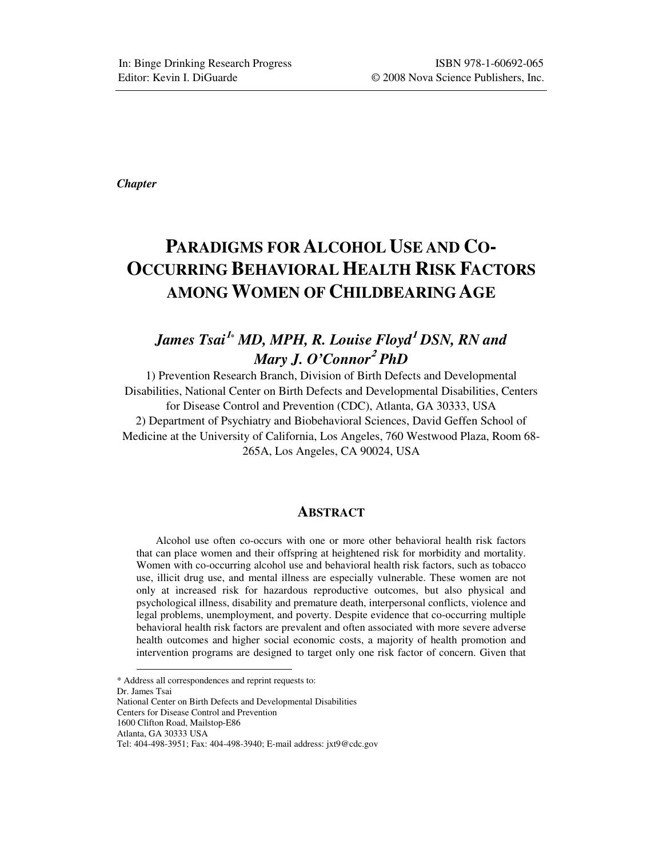*Chapter* 

# **PARADIGMS FOR ALCOHOL USE AND CO-OCCURRING BEHAVIORAL HEALTH RISK FACTORS AMONG WOMEN OF CHILDBEARING AGE**

# *James Tsai***<sup>1</sup>***\* MD, MPH, R. Louise Floyd***<sup>1</sup>**  *DSN, RN and Mary J. O'Connor***<sup>2</sup>**  *PhD*

1) Prevention Research Branch, Division of Birth Defects and Developmental Disabilities, National Center on Birth Defects and Developmental Disabilities, Centers for Disease Control and Prevention (CDC), Atlanta, GA 30333, USA 2) Department of Psychiatry and Biobehavioral Sciences, David Geffen School of Medicine at the University of California, Los Angeles, 760 Westwood Plaza, Room 68-

265A, Los Angeles, CA 90024, USA

### **ABSTRACT**

Alcohol use often co-occurs with one or more other behavioral health risk factors that can place women and their offspring at heightened risk for morbidity and mortality. Women with co-occurring alcohol use and behavioral health risk factors, such as tobacco use, illicit drug use, and mental illness are especially vulnerable. These women are not only at increased risk for hazardous reproductive outcomes, but also physical and psychological illness, disability and premature death, interpersonal conflicts, violence and legal problems, unemployment, and poverty. Despite evidence that co-occurring multiple behavioral health risk factors are prevalent and often associated with more severe adverse health outcomes and higher social economic costs, a majority of health promotion and intervention programs are designed to target only one risk factor of concern. Given that

\* Address all correspondences and reprint requests to:

Dr. James Tsai

 $\overline{a}$ 

National Center on Birth Defects and Developmental Disabilities Centers for Disease Control and Prevention 1600 Clifton Road, Mailstop-E86 Atlanta, GA 30333 USA Tel: 404-498-3951; Fax: 404-498-3940; E-mail address: jxt9@cdc.gov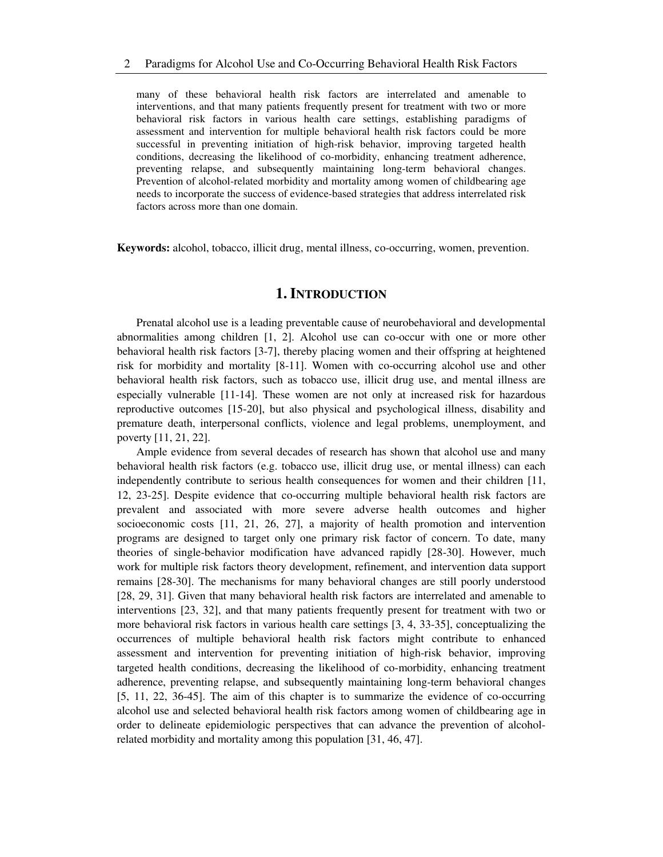many of these behavioral health risk factors are interrelated and amenable to interventions, and that many patients frequently present for treatment with two or more behavioral risk factors in various health care settings, establishing paradigms of assessment and intervention for multiple behavioral health risk factors could be more successful in preventing initiation of high-risk behavior, improving targeted health conditions, decreasing the likelihood of co-morbidity, enhancing treatment adherence, preventing relapse, and subsequently maintaining long-term behavioral changes. Prevention of alcohol-related morbidity and mortality among women of childbearing age needs to incorporate the success of evidence-based strategies that address interrelated risk factors across more than one domain.

**Keywords:** alcohol, tobacco, illicit drug, mental illness, co-occurring, women, prevention.

## **1.INTRODUCTION**

Prenatal alcohol use is a leading preventable cause of neurobehavioral and developmental abnormalities among children [1, 2]. Alcohol use can co-occur with one or more other behavioral health risk factors [3-7], thereby placing women and their offspring at heightened risk for morbidity and mortality [8-11]. Women with co-occurring alcohol use and other behavioral health risk factors, such as tobacco use, illicit drug use, and mental illness are especially vulnerable [11-14]. These women are not only at increased risk for hazardous reproductive outcomes [15-20], but also physical and psychological illness, disability and premature death, interpersonal conflicts, violence and legal problems, unemployment, and poverty [11, 21, 22].

Ample evidence from several decades of research has shown that alcohol use and many behavioral health risk factors (e.g. tobacco use, illicit drug use, or mental illness) can each independently contribute to serious health consequences for women and their children [11, 12, 23-25]. Despite evidence that co-occurring multiple behavioral health risk factors are prevalent and associated with more severe adverse health outcomes and higher socioeconomic costs [11, 21, 26, 27], a majority of health promotion and intervention programs are designed to target only one primary risk factor of concern. To date, many theories of single-behavior modification have advanced rapidly [28-30]. However, much work for multiple risk factors theory development, refinement, and intervention data support remains [28-30]. The mechanisms for many behavioral changes are still poorly understood [28, 29, 31]. Given that many behavioral health risk factors are interrelated and amenable to interventions [23, 32], and that many patients frequently present for treatment with two or more behavioral risk factors in various health care settings [3, 4, 33-35], conceptualizing the occurrences of multiple behavioral health risk factors might contribute to enhanced assessment and intervention for preventing initiation of high-risk behavior, improving targeted health conditions, decreasing the likelihood of co-morbidity, enhancing treatment adherence, preventing relapse, and subsequently maintaining long-term behavioral changes [5, 11, 22, 36-45]. The aim of this chapter is to summarize the evidence of co-occurring alcohol use and selected behavioral health risk factors among women of childbearing age in order to delineate epidemiologic perspectives that can advance the prevention of alcoholrelated morbidity and mortality among this population [31, 46, 47].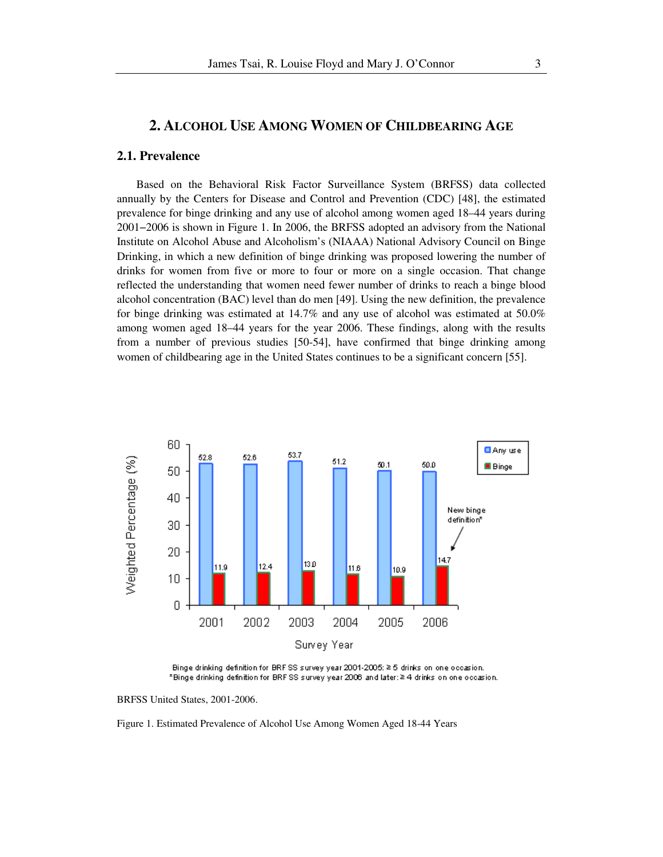## **2. ALCOHOL USE AMONG WOMEN OF CHILDBEARING AGE**

### **2.1. Prevalence**

Based on the Behavioral Risk Factor Surveillance System (BRFSS) data collected annually by the Centers for Disease and Control and Prevention (CDC) [48], the estimated prevalence for binge drinking and any use of alcohol among women aged 18–44 years during 2001−2006 is shown in Figure 1. In 2006, the BRFSS adopted an advisory from the National Institute on Alcohol Abuse and Alcoholism's (NIAAA) National Advisory Council on Binge Drinking, in which a new definition of binge drinking was proposed lowering the number of drinks for women from five or more to four or more on a single occasion. That change reflected the understanding that women need fewer number of drinks to reach a binge blood alcohol concentration (BAC) level than do men [49]. Using the new definition, the prevalence for binge drinking was estimated at 14.7% and any use of alcohol was estimated at 50.0% among women aged 18–44 years for the year 2006. These findings, along with the results from a number of previous studies [50-54], have confirmed that binge drinking among women of childbearing age in the United States continues to be a significant concern [55].



Binge drinking definition for BRF SS survey year 2001-2005: ≥ 5 drinks on one occasion. \*Binge drinking definition for BRF SS survey year 2006 and later: ≥ 4 drinks on one occasion.

BRFSS United States, 2001-2006.

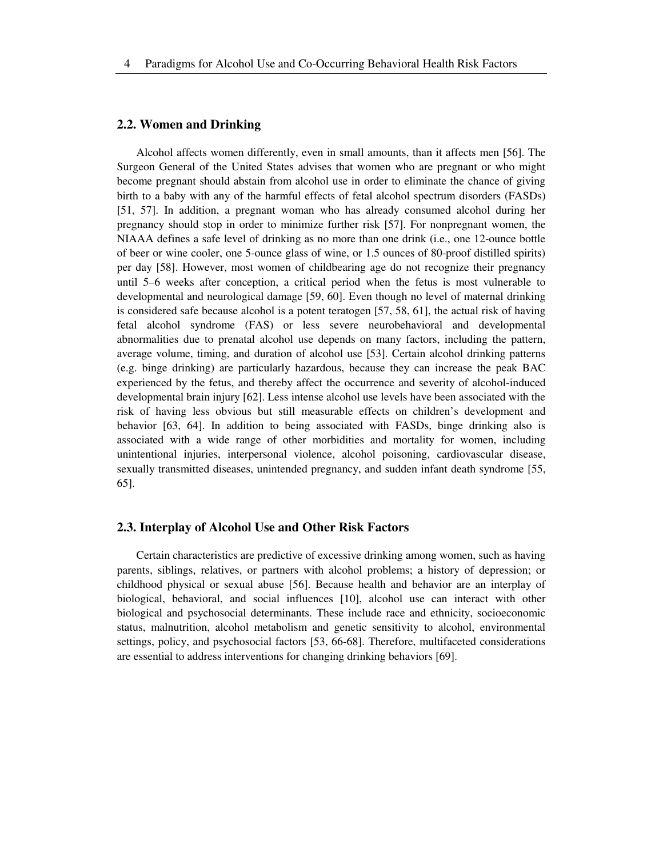### **2.2. Women and Drinking**

Alcohol affects women differently, even in small amounts, than it affects men [56]. The Surgeon General of the United States advises that women who are pregnant or who might become pregnant should abstain from alcohol use in order to eliminate the chance of giving birth to a baby with any of the harmful effects of fetal alcohol spectrum disorders (FASDs) [51, 57]. In addition, a pregnant woman who has already consumed alcohol during her pregnancy should stop in order to minimize further risk [57]. For nonpregnant women, the NIAAA defines a safe level of drinking as no more than one drink (i.e., one 12-ounce bottle of beer or wine cooler, one 5-ounce glass of wine, or 1.5 ounces of 80-proof distilled spirits) per day [58]. However, most women of childbearing age do not recognize their pregnancy until 5–6 weeks after conception, a critical period when the fetus is most vulnerable to developmental and neurological damage [59, 60]. Even though no level of maternal drinking is considered safe because alcohol is a potent teratogen [57, 58, 61], the actual risk of having fetal alcohol syndrome (FAS) or less severe neurobehavioral and developmental abnormalities due to prenatal alcohol use depends on many factors, including the pattern, average volume, timing, and duration of alcohol use [53]. Certain alcohol drinking patterns (e.g. binge drinking) are particularly hazardous, because they can increase the peak BAC experienced by the fetus, and thereby affect the occurrence and severity of alcohol-induced developmental brain injury [62]. Less intense alcohol use levels have been associated with the risk of having less obvious but still measurable effects on children's development and behavior [63, 64]. In addition to being associated with FASDs, binge drinking also is associated with a wide range of other morbidities and mortality for women, including unintentional injuries, interpersonal violence, alcohol poisoning, cardiovascular disease, sexually transmitted diseases, unintended pregnancy, and sudden infant death syndrome [55, 65].

#### **2.3. Interplay of Alcohol Use and Other Risk Factors**

Certain characteristics are predictive of excessive drinking among women, such as having parents, siblings, relatives, or partners with alcohol problems; a history of depression; or childhood physical or sexual abuse [56]. Because health and behavior are an interplay of biological, behavioral, and social influences [10], alcohol use can interact with other biological and psychosocial determinants. These include race and ethnicity, socioeconomic status, malnutrition, alcohol metabolism and genetic sensitivity to alcohol, environmental settings, policy, and psychosocial factors [53, 66-68]. Therefore, multifaceted considerations are essential to address interventions for changing drinking behaviors [69].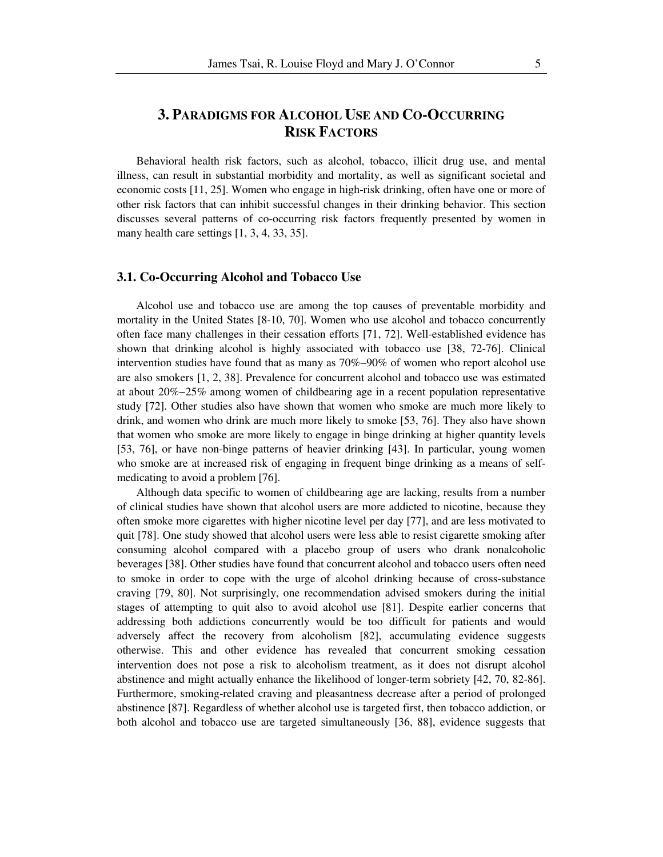# **3. PARADIGMS FOR ALCOHOL USE AND CO-OCCURRING RISK FACTORS**

Behavioral health risk factors, such as alcohol, tobacco, illicit drug use, and mental illness, can result in substantial morbidity and mortality, as well as significant societal and economic costs [11, 25]. Women who engage in high-risk drinking, often have one or more of other risk factors that can inhibit successful changes in their drinking behavior. This section discusses several patterns of co-occurring risk factors frequently presented by women in many health care settings [1, 3, 4, 33, 35].

### **3.1. Co-Occurring Alcohol and Tobacco Use**

Alcohol use and tobacco use are among the top causes of preventable morbidity and mortality in the United States [8-10, 70]. Women who use alcohol and tobacco concurrently often face many challenges in their cessation efforts [71, 72]. Well-established evidence has shown that drinking alcohol is highly associated with tobacco use [38, 72-76]. Clinical intervention studies have found that as many as 70%−90% of women who report alcohol use are also smokers [1, 2, 38]. Prevalence for concurrent alcohol and tobacco use was estimated at about 20%−25% among women of childbearing age in a recent population representative study [72]. Other studies also have shown that women who smoke are much more likely to drink, and women who drink are much more likely to smoke [53, 76]. They also have shown that women who smoke are more likely to engage in binge drinking at higher quantity levels [53, 76], or have non-binge patterns of heavier drinking [43]. In particular, young women who smoke are at increased risk of engaging in frequent binge drinking as a means of selfmedicating to avoid a problem [76].

Although data specific to women of childbearing age are lacking, results from a number of clinical studies have shown that alcohol users are more addicted to nicotine, because they often smoke more cigarettes with higher nicotine level per day [77], and are less motivated to quit [78]. One study showed that alcohol users were less able to resist cigarette smoking after consuming alcohol compared with a placebo group of users who drank nonalcoholic beverages [38]. Other studies have found that concurrent alcohol and tobacco users often need to smoke in order to cope with the urge of alcohol drinking because of cross-substance craving [79, 80]. Not surprisingly, one recommendation advised smokers during the initial stages of attempting to quit also to avoid alcohol use [81]. Despite earlier concerns that addressing both addictions concurrently would be too difficult for patients and would adversely affect the recovery from alcoholism [82], accumulating evidence suggests otherwise. This and other evidence has revealed that concurrent smoking cessation intervention does not pose a risk to alcoholism treatment, as it does not disrupt alcohol abstinence and might actually enhance the likelihood of longer-term sobriety [42, 70, 82-86]. Furthermore, smoking-related craving and pleasantness decrease after a period of prolonged abstinence [87]. Regardless of whether alcohol use is targeted first, then tobacco addiction, or both alcohol and tobacco use are targeted simultaneously [36, 88], evidence suggests that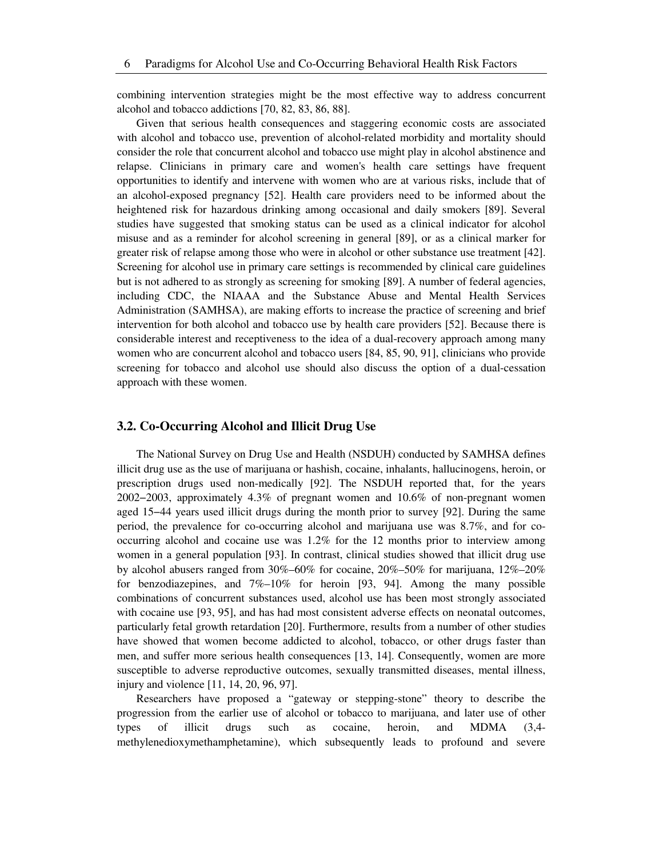combining intervention strategies might be the most effective way to address concurrent alcohol and tobacco addictions [70, 82, 83, 86, 88].

Given that serious health consequences and staggering economic costs are associated with alcohol and tobacco use, prevention of alcohol-related morbidity and mortality should consider the role that concurrent alcohol and tobacco use might play in alcohol abstinence and relapse. Clinicians in primary care and women's health care settings have frequent opportunities to identify and intervene with women who are at various risks, include that of an alcohol-exposed pregnancy [52]. Health care providers need to be informed about the heightened risk for hazardous drinking among occasional and daily smokers [89]. Several studies have suggested that smoking status can be used as a clinical indicator for alcohol misuse and as a reminder for alcohol screening in general [89], or as a clinical marker for greater risk of relapse among those who were in alcohol or other substance use treatment [42]. Screening for alcohol use in primary care settings is recommended by clinical care guidelines but is not adhered to as strongly as screening for smoking [89]. A number of federal agencies, including CDC, the NIAAA and the Substance Abuse and Mental Health Services Administration (SAMHSA), are making efforts to increase the practice of screening and brief intervention for both alcohol and tobacco use by health care providers [52]. Because there is considerable interest and receptiveness to the idea of a dual-recovery approach among many women who are concurrent alcohol and tobacco users [84, 85, 90, 91], clinicians who provide screening for tobacco and alcohol use should also discuss the option of a dual-cessation approach with these women.

### **3.2. Co-Occurring Alcohol and Illicit Drug Use**

The National Survey on Drug Use and Health (NSDUH) conducted by SAMHSA defines illicit drug use as the use of marijuana or hashish, cocaine, inhalants, hallucinogens, heroin, or prescription drugs used non-medically [92]. The NSDUH reported that, for the years 2002−2003, approximately 4.3% of pregnant women and 10.6% of non-pregnant women aged 15−44 years used illicit drugs during the month prior to survey [92]. During the same period, the prevalence for co-occurring alcohol and marijuana use was 8.7%, and for cooccurring alcohol and cocaine use was 1.2% for the 12 months prior to interview among women in a general population [93]. In contrast, clinical studies showed that illicit drug use by alcohol abusers ranged from 30%–60% for cocaine, 20%–50% for marijuana, 12%–20% for benzodiazepines, and  $7\%-10\%$  for heroin [93, 94]. Among the many possible combinations of concurrent substances used, alcohol use has been most strongly associated with cocaine use [93, 95], and has had most consistent adverse effects on neonatal outcomes, particularly fetal growth retardation [20]. Furthermore, results from a number of other studies have showed that women become addicted to alcohol, tobacco, or other drugs faster than men, and suffer more serious health consequences [13, 14]. Consequently, women are more susceptible to adverse reproductive outcomes, sexually transmitted diseases, mental illness, injury and violence [11, 14, 20, 96, 97].

Researchers have proposed a "gateway or stepping-stone" theory to describe the progression from the earlier use of alcohol or tobacco to marijuana, and later use of other types of illicit drugs such as cocaine, heroin, and MDMA (3,4 methylenedioxymethamphetamine), which subsequently leads to profound and severe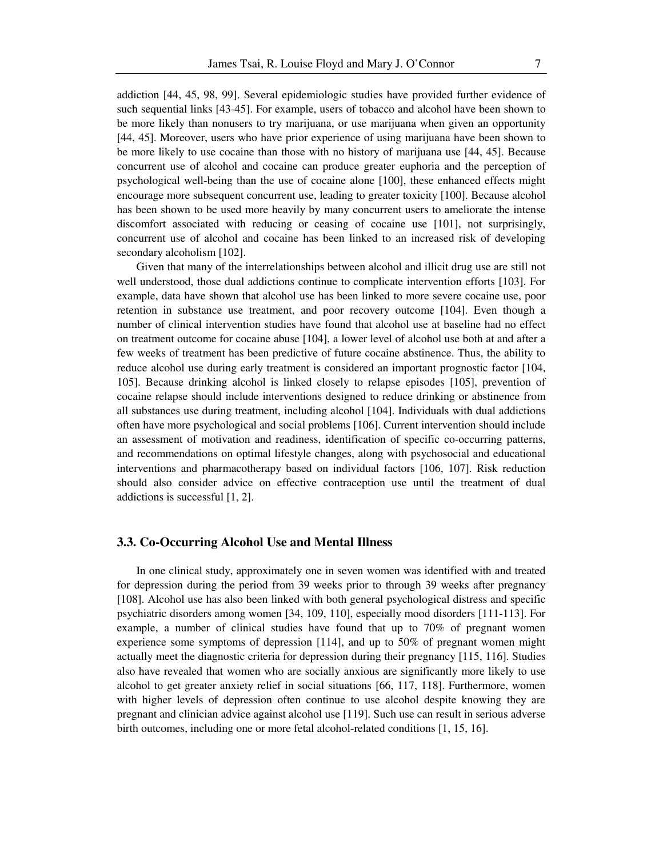addiction [44, 45, 98, 99]. Several epidemiologic studies have provided further evidence of such sequential links [43-45]. For example, users of tobacco and alcohol have been shown to be more likely than nonusers to try marijuana, or use marijuana when given an opportunity [44, 45]. Moreover, users who have prior experience of using marijuana have been shown to be more likely to use cocaine than those with no history of marijuana use [44, 45]. Because concurrent use of alcohol and cocaine can produce greater euphoria and the perception of psychological well-being than the use of cocaine alone [100], these enhanced effects might encourage more subsequent concurrent use, leading to greater toxicity [100]. Because alcohol has been shown to be used more heavily by many concurrent users to ameliorate the intense discomfort associated with reducing or ceasing of cocaine use [101], not surprisingly, concurrent use of alcohol and cocaine has been linked to an increased risk of developing secondary alcoholism [102].

Given that many of the interrelationships between alcohol and illicit drug use are still not well understood, those dual addictions continue to complicate intervention efforts [103]. For example, data have shown that alcohol use has been linked to more severe cocaine use, poor retention in substance use treatment, and poor recovery outcome [104]. Even though a number of clinical intervention studies have found that alcohol use at baseline had no effect on treatment outcome for cocaine abuse [104], a lower level of alcohol use both at and after a few weeks of treatment has been predictive of future cocaine abstinence. Thus, the ability to reduce alcohol use during early treatment is considered an important prognostic factor [104, 105]. Because drinking alcohol is linked closely to relapse episodes [105], prevention of cocaine relapse should include interventions designed to reduce drinking or abstinence from all substances use during treatment, including alcohol [104]. Individuals with dual addictions often have more psychological and social problems [106]. Current intervention should include an assessment of motivation and readiness, identification of specific co-occurring patterns, and recommendations on optimal lifestyle changes, along with psychosocial and educational interventions and pharmacotherapy based on individual factors [106, 107]. Risk reduction should also consider advice on effective contraception use until the treatment of dual addictions is successful [1, 2].

### **3.3. Co-Occurring Alcohol Use and Mental Illness**

In one clinical study, approximately one in seven women was identified with and treated for depression during the period from 39 weeks prior to through 39 weeks after pregnancy [108]. Alcohol use has also been linked with both general psychological distress and specific psychiatric disorders among women [34, 109, 110], especially mood disorders [111-113]. For example, a number of clinical studies have found that up to 70% of pregnant women experience some symptoms of depression [114], and up to 50% of pregnant women might actually meet the diagnostic criteria for depression during their pregnancy [115, 116]. Studies also have revealed that women who are socially anxious are significantly more likely to use alcohol to get greater anxiety relief in social situations [66, 117, 118]. Furthermore, women with higher levels of depression often continue to use alcohol despite knowing they are pregnant and clinician advice against alcohol use [119]. Such use can result in serious adverse birth outcomes, including one or more fetal alcohol-related conditions [1, 15, 16].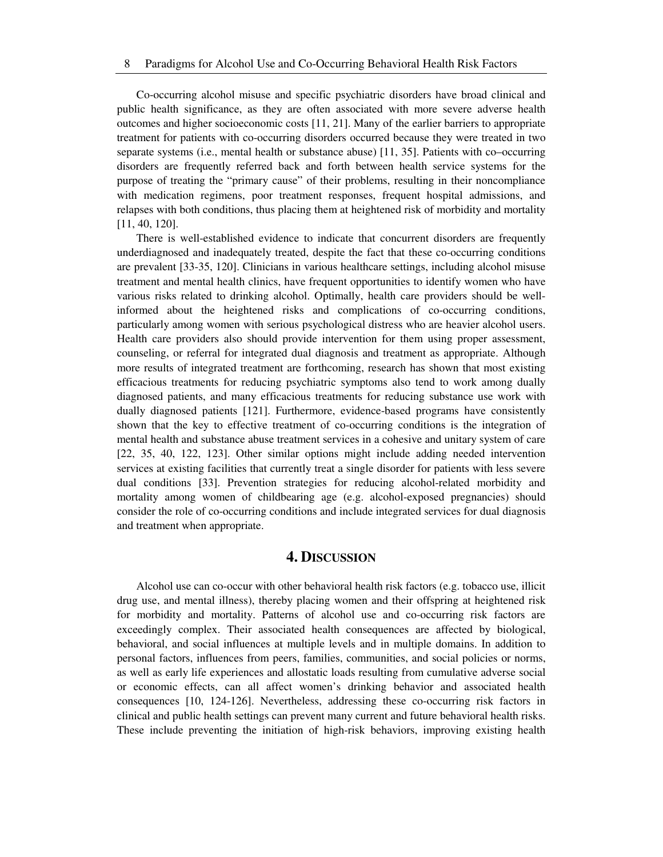Co-occurring alcohol misuse and specific psychiatric disorders have broad clinical and public health significance, as they are often associated with more severe adverse health outcomes and higher socioeconomic costs [11, 21]. Many of the earlier barriers to appropriate treatment for patients with co-occurring disorders occurred because they were treated in two separate systems (i.e., mental health or substance abuse) [11, 35]. Patients with co–occurring disorders are frequently referred back and forth between health service systems for the purpose of treating the "primary cause" of their problems, resulting in their noncompliance with medication regimens, poor treatment responses, frequent hospital admissions, and relapses with both conditions, thus placing them at heightened risk of morbidity and mortality [11, 40, 120].

There is well-established evidence to indicate that concurrent disorders are frequently underdiagnosed and inadequately treated, despite the fact that these co-occurring conditions are prevalent [33-35, 120]. Clinicians in various healthcare settings, including alcohol misuse treatment and mental health clinics, have frequent opportunities to identify women who have various risks related to drinking alcohol. Optimally, health care providers should be wellinformed about the heightened risks and complications of co-occurring conditions, particularly among women with serious psychological distress who are heavier alcohol users. Health care providers also should provide intervention for them using proper assessment, counseling, or referral for integrated dual diagnosis and treatment as appropriate. Although more results of integrated treatment are forthcoming, research has shown that most existing efficacious treatments for reducing psychiatric symptoms also tend to work among dually diagnosed patients, and many efficacious treatments for reducing substance use work with dually diagnosed patients [121]. Furthermore, evidence-based programs have consistently shown that the key to effective treatment of co-occurring conditions is the integration of mental health and substance abuse treatment services in a cohesive and unitary system of care [22, 35, 40, 122, 123]. Other similar options might include adding needed intervention services at existing facilities that currently treat a single disorder for patients with less severe dual conditions [33]. Prevention strategies for reducing alcohol-related morbidity and mortality among women of childbearing age (e.g. alcohol-exposed pregnancies) should consider the role of co-occurring conditions and include integrated services for dual diagnosis and treatment when appropriate.

# **4. DISCUSSION**

Alcohol use can co-occur with other behavioral health risk factors (e.g. tobacco use, illicit drug use, and mental illness), thereby placing women and their offspring at heightened risk for morbidity and mortality. Patterns of alcohol use and co-occurring risk factors are exceedingly complex. Their associated health consequences are affected by biological, behavioral, and social influences at multiple levels and in multiple domains. In addition to personal factors, influences from peers, families, communities, and social policies or norms, as well as early life experiences and allostatic loads resulting from cumulative adverse social or economic effects, can all affect women's drinking behavior and associated health consequences [10, 124-126]. Nevertheless, addressing these co-occurring risk factors in clinical and public health settings can prevent many current and future behavioral health risks. These include preventing the initiation of high-risk behaviors, improving existing health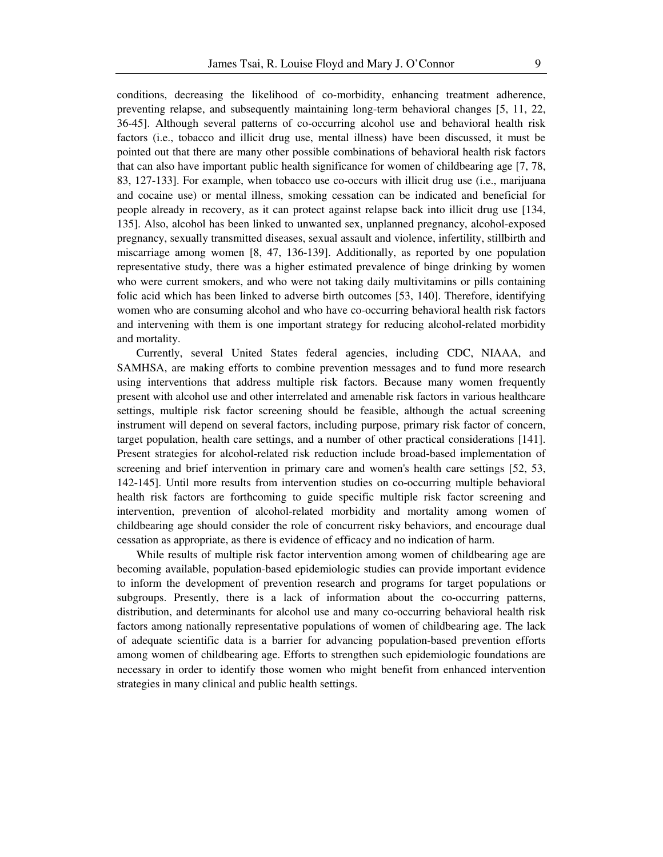conditions, decreasing the likelihood of co-morbidity, enhancing treatment adherence, preventing relapse, and subsequently maintaining long-term behavioral changes [5, 11, 22, 36-45]. Although several patterns of co-occurring alcohol use and behavioral health risk factors (i.e., tobacco and illicit drug use, mental illness) have been discussed, it must be pointed out that there are many other possible combinations of behavioral health risk factors that can also have important public health significance for women of childbearing age [7, 78, 83, 127-133]. For example, when tobacco use co-occurs with illicit drug use (i.e., marijuana and cocaine use) or mental illness, smoking cessation can be indicated and beneficial for people already in recovery, as it can protect against relapse back into illicit drug use [134, 135]. Also, alcohol has been linked to unwanted sex, unplanned pregnancy, alcohol-exposed pregnancy, sexually transmitted diseases, sexual assault and violence, infertility, stillbirth and miscarriage among women [8, 47, 136-139]. Additionally, as reported by one population representative study, there was a higher estimated prevalence of binge drinking by women who were current smokers, and who were not taking daily multivitamins or pills containing folic acid which has been linked to adverse birth outcomes [53, 140]. Therefore, identifying women who are consuming alcohol and who have co-occurring behavioral health risk factors and intervening with them is one important strategy for reducing alcohol-related morbidity and mortality.

Currently, several United States federal agencies, including CDC, NIAAA, and SAMHSA, are making efforts to combine prevention messages and to fund more research using interventions that address multiple risk factors. Because many women frequently present with alcohol use and other interrelated and amenable risk factors in various healthcare settings, multiple risk factor screening should be feasible, although the actual screening instrument will depend on several factors, including purpose, primary risk factor of concern, target population, health care settings, and a number of other practical considerations [141]. Present strategies for alcohol-related risk reduction include broad-based implementation of screening and brief intervention in primary care and women's health care settings [52, 53, 142-145]. Until more results from intervention studies on co-occurring multiple behavioral health risk factors are forthcoming to guide specific multiple risk factor screening and intervention, prevention of alcohol-related morbidity and mortality among women of childbearing age should consider the role of concurrent risky behaviors, and encourage dual cessation as appropriate, as there is evidence of efficacy and no indication of harm.

While results of multiple risk factor intervention among women of childbearing age are becoming available, population-based epidemiologic studies can provide important evidence to inform the development of prevention research and programs for target populations or subgroups. Presently, there is a lack of information about the co-occurring patterns, distribution, and determinants for alcohol use and many co-occurring behavioral health risk factors among nationally representative populations of women of childbearing age. The lack of adequate scientific data is a barrier for advancing population-based prevention efforts among women of childbearing age. Efforts to strengthen such epidemiologic foundations are necessary in order to identify those women who might benefit from enhanced intervention strategies in many clinical and public health settings.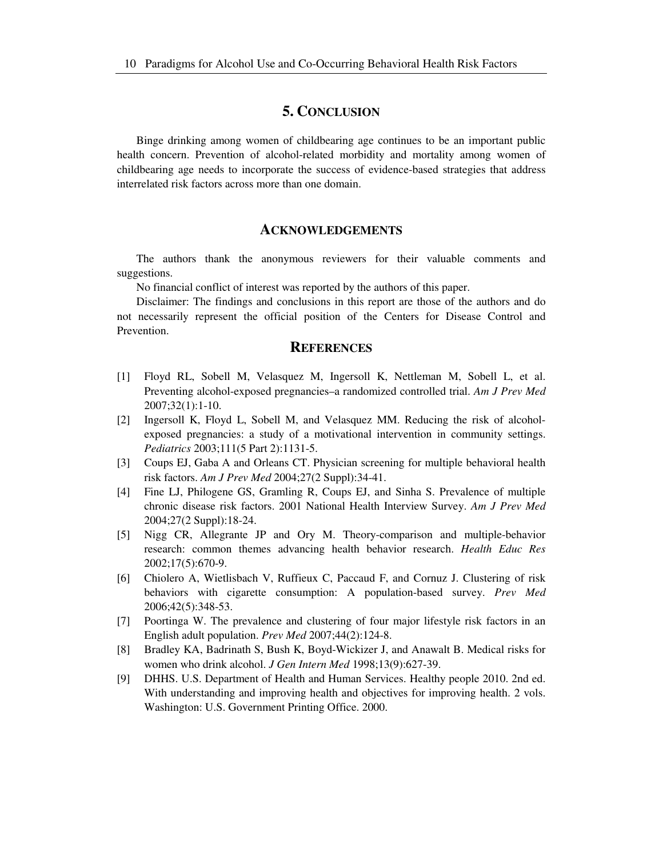# **5. CONCLUSION**

Binge drinking among women of childbearing age continues to be an important public health concern. Prevention of alcohol-related morbidity and mortality among women of childbearing age needs to incorporate the success of evidence-based strategies that address interrelated risk factors across more than one domain.

### **ACKNOWLEDGEMENTS**

The authors thank the anonymous reviewers for their valuable comments and suggestions.

No financial conflict of interest was reported by the authors of this paper.

Disclaimer: The findings and conclusions in this report are those of the authors and do not necessarily represent the official position of the Centers for Disease Control and Prevention.

### **REFERENCES**

- [1] Floyd RL, Sobell M, Velasquez M, Ingersoll K, Nettleman M, Sobell L, et al. Preventing alcohol-exposed pregnancies–a randomized controlled trial. *Am J Prev Med* 2007;32(1):1-10.
- [2] Ingersoll K, Floyd L, Sobell M, and Velasquez MM. Reducing the risk of alcoholexposed pregnancies: a study of a motivational intervention in community settings. *Pediatrics* 2003;111(5 Part 2):1131-5.
- [3] Coups EJ, Gaba A and Orleans CT. Physician screening for multiple behavioral health risk factors. *Am J Prev Med* 2004;27(2 Suppl):34-41.
- [4] Fine LJ, Philogene GS, Gramling R, Coups EJ, and Sinha S. Prevalence of multiple chronic disease risk factors. 2001 National Health Interview Survey. *Am J Prev Med* 2004;27(2 Suppl):18-24.
- [5] Nigg CR, Allegrante JP and Ory M. Theory-comparison and multiple-behavior research: common themes advancing health behavior research. *Health Educ Res* 2002;17(5):670-9.
- [6] Chiolero A, Wietlisbach V, Ruffieux C, Paccaud F, and Cornuz J. Clustering of risk behaviors with cigarette consumption: A population-based survey. *Prev Med* 2006;42(5):348-53.
- [7] Poortinga W. The prevalence and clustering of four major lifestyle risk factors in an English adult population. *Prev Med* 2007;44(2):124-8.
- [8] Bradley KA, Badrinath S, Bush K, Boyd-Wickizer J, and Anawalt B. Medical risks for women who drink alcohol. *J Gen Intern Med* 1998;13(9):627-39.
- [9] DHHS. U.S. Department of Health and Human Services. Healthy people 2010. 2nd ed. With understanding and improving health and objectives for improving health. 2 vols. Washington: U.S. Government Printing Office. 2000.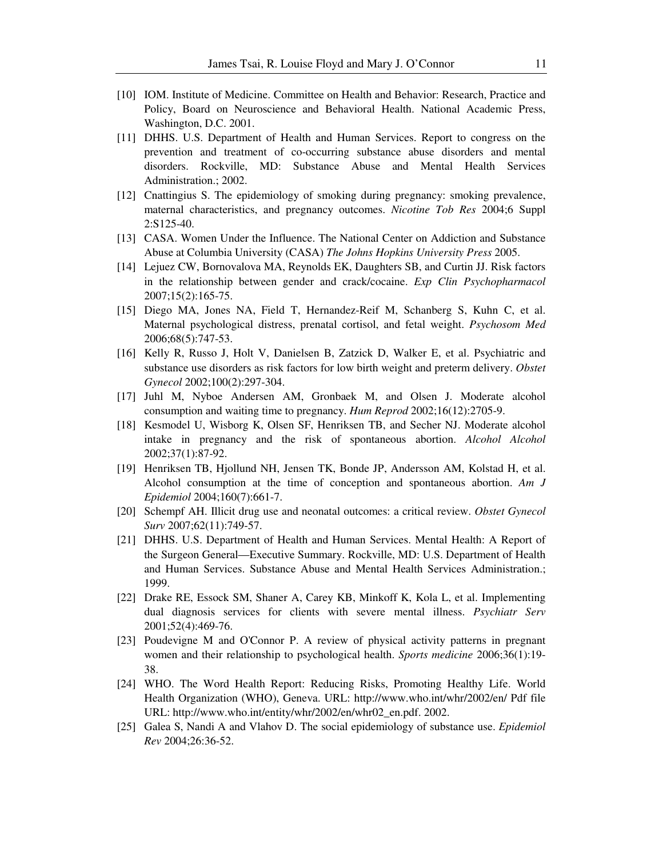- [10] IOM. Institute of Medicine. Committee on Health and Behavior: Research, Practice and Policy, Board on Neuroscience and Behavioral Health. National Academic Press, Washington, D.C. 2001.
- [11] DHHS. U.S. Department of Health and Human Services. Report to congress on the prevention and treatment of co-occurring substance abuse disorders and mental disorders. Rockville, MD: Substance Abuse and Mental Health Services Administration.; 2002.
- [12] Cnattingius S. The epidemiology of smoking during pregnancy: smoking prevalence, maternal characteristics, and pregnancy outcomes. *Nicotine Tob Res* 2004;6 Suppl 2:S125-40.
- [13] CASA. Women Under the Influence. The National Center on Addiction and Substance Abuse at Columbia University (CASA) *The Johns Hopkins University Press* 2005.
- [14] Lejuez CW, Bornovalova MA, Reynolds EK, Daughters SB, and Curtin JJ. Risk factors in the relationship between gender and crack/cocaine. *Exp Clin Psychopharmacol* 2007;15(2):165-75.
- [15] Diego MA, Jones NA, Field T, Hernandez-Reif M, Schanberg S, Kuhn C, et al. Maternal psychological distress, prenatal cortisol, and fetal weight. *Psychosom Med* 2006;68(5):747-53.
- [16] Kelly R, Russo J, Holt V, Danielsen B, Zatzick D, Walker E, et al. Psychiatric and substance use disorders as risk factors for low birth weight and preterm delivery. *Obstet Gynecol* 2002;100(2):297-304.
- [17] Juhl M, Nyboe Andersen AM, Gronbaek M, and Olsen J. Moderate alcohol consumption and waiting time to pregnancy. *Hum Reprod* 2002;16(12):2705-9.
- [18] Kesmodel U, Wisborg K, Olsen SF, Henriksen TB, and Secher NJ. Moderate alcohol intake in pregnancy and the risk of spontaneous abortion. *Alcohol Alcohol* 2002;37(1):87-92.
- [19] Henriksen TB, Hjollund NH, Jensen TK, Bonde JP, Andersson AM, Kolstad H, et al. Alcohol consumption at the time of conception and spontaneous abortion. *Am J Epidemiol* 2004;160(7):661-7.
- [20] Schempf AH. Illicit drug use and neonatal outcomes: a critical review. *Obstet Gynecol Surv* 2007;62(11):749-57.
- [21] DHHS. U.S. Department of Health and Human Services. Mental Health: A Report of the Surgeon General—Executive Summary. Rockville, MD: U.S. Department of Health and Human Services. Substance Abuse and Mental Health Services Administration.; 1999.
- [22] Drake RE, Essock SM, Shaner A, Carey KB, Minkoff K, Kola L, et al. Implementing dual diagnosis services for clients with severe mental illness. *Psychiatr Serv* 2001;52(4):469-76.
- [23] Poudevigne M and O'Connor P. A review of physical activity patterns in pregnant women and their relationship to psychological health. *Sports medicine* 2006;36(1):19- 38.
- [24] WHO. The Word Health Report: Reducing Risks, Promoting Healthy Life. World Health Organization (WHO), Geneva. URL: http://www.who.int/whr/2002/en/ Pdf file URL: http://www.who.int/entity/whr/2002/en/whr02\_en.pdf. 2002.
- [25] Galea S, Nandi A and Vlahov D. The social epidemiology of substance use. *Epidemiol Rev* 2004;26:36-52.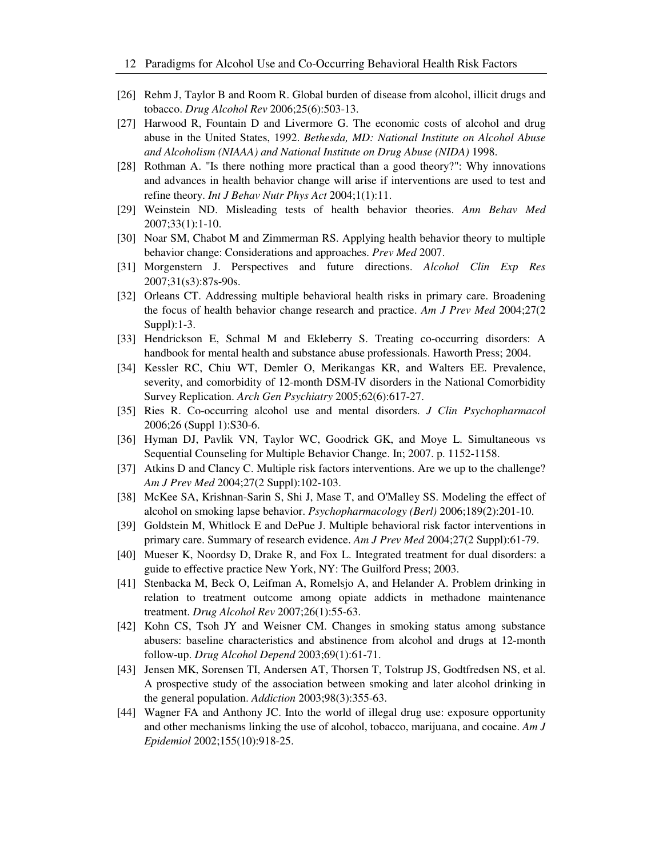- [26] Rehm J, Taylor B and Room R. Global burden of disease from alcohol, illicit drugs and tobacco. *Drug Alcohol Rev* 2006;25(6):503-13.
- [27] Harwood R, Fountain D and Livermore G. The economic costs of alcohol and drug abuse in the United States, 1992. *Bethesda, MD: National Institute on Alcohol Abuse and Alcoholism (NIAAA) and National Institute on Drug Abuse (NIDA)* 1998.
- [28] Rothman A. "Is there nothing more practical than a good theory?": Why innovations and advances in health behavior change will arise if interventions are used to test and refine theory. *Int J Behav Nutr Phys Act* 2004;1(1):11.
- [29] Weinstein ND. Misleading tests of health behavior theories. *Ann Behav Med* 2007;33(1):1-10.
- [30] Noar SM, Chabot M and Zimmerman RS. Applying health behavior theory to multiple behavior change: Considerations and approaches. *Prev Med* 2007.
- [31] Morgenstern J. Perspectives and future directions. *Alcohol Clin Exp Res* 2007;31(s3):87s-90s.
- [32] Orleans CT. Addressing multiple behavioral health risks in primary care. Broadening the focus of health behavior change research and practice. *Am J Prev Med* 2004;27(2 Suppl):1-3.
- [33] Hendrickson E, Schmal M and Ekleberry S. Treating co-occurring disorders: A handbook for mental health and substance abuse professionals. Haworth Press; 2004.
- [34] Kessler RC, Chiu WT, Demler O, Merikangas KR, and Walters EE. Prevalence, severity, and comorbidity of 12-month DSM-IV disorders in the National Comorbidity Survey Replication. *Arch Gen Psychiatry* 2005;62(6):617-27.
- [35] Ries R. Co-occurring alcohol use and mental disorders. *J Clin Psychopharmacol* 2006;26 (Suppl 1):S30-6.
- [36] Hyman DJ, Pavlik VN, Taylor WC, Goodrick GK, and Moye L. Simultaneous vs Sequential Counseling for Multiple Behavior Change. In; 2007. p. 1152-1158.
- [37] Atkins D and Clancy C. Multiple risk factors interventions. Are we up to the challenge? *Am J Prev Med* 2004;27(2 Suppl):102-103.
- [38] McKee SA, Krishnan-Sarin S, Shi J, Mase T, and O'Malley SS. Modeling the effect of alcohol on smoking lapse behavior. *Psychopharmacology (Berl)* 2006;189(2):201-10.
- [39] Goldstein M, Whitlock E and DePue J. Multiple behavioral risk factor interventions in primary care. Summary of research evidence. *Am J Prev Med* 2004;27(2 Suppl):61-79.
- [40] Mueser K, Noordsy D, Drake R, and Fox L. Integrated treatment for dual disorders: a guide to effective practice New York, NY: The Guilford Press; 2003.
- [41] Stenbacka M, Beck O, Leifman A, Romelsjo A, and Helander A. Problem drinking in relation to treatment outcome among opiate addicts in methadone maintenance treatment. *Drug Alcohol Rev* 2007;26(1):55-63.
- [42] Kohn CS, Tsoh JY and Weisner CM. Changes in smoking status among substance abusers: baseline characteristics and abstinence from alcohol and drugs at 12-month follow-up. *Drug Alcohol Depend* 2003;69(1):61-71.
- [43] Jensen MK, Sorensen TI, Andersen AT, Thorsen T, Tolstrup JS, Godtfredsen NS, et al. A prospective study of the association between smoking and later alcohol drinking in the general population. *Addiction* 2003;98(3):355-63.
- [44] Wagner FA and Anthony JC. Into the world of illegal drug use: exposure opportunity and other mechanisms linking the use of alcohol, tobacco, marijuana, and cocaine. *Am J Epidemiol* 2002;155(10):918-25.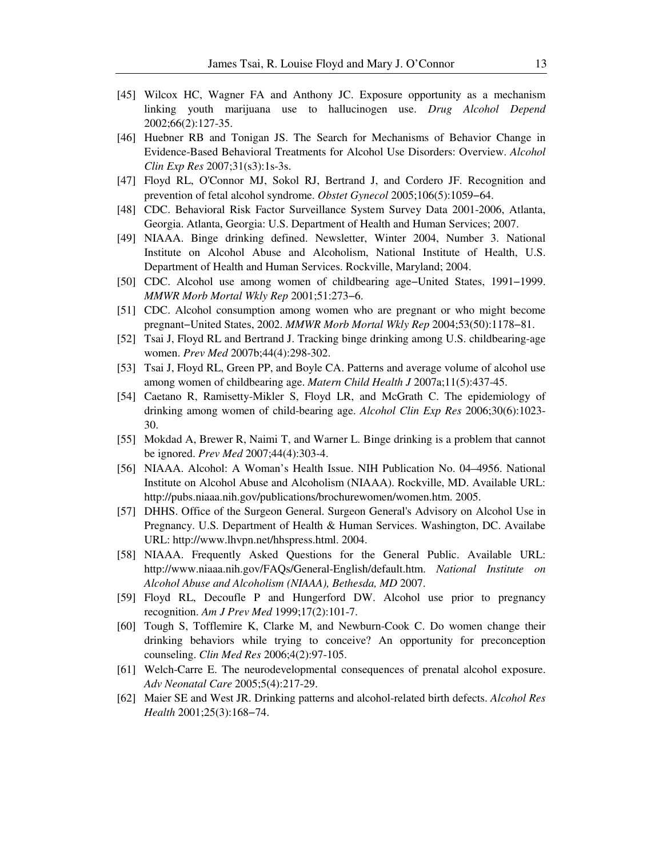- [45] Wilcox HC, Wagner FA and Anthony JC. Exposure opportunity as a mechanism linking youth marijuana use to hallucinogen use. *Drug Alcohol Depend* 2002;66(2):127-35.
- [46] Huebner RB and Tonigan JS. The Search for Mechanisms of Behavior Change in Evidence-Based Behavioral Treatments for Alcohol Use Disorders: Overview. *Alcohol Clin Exp Res* 2007;31(s3):1s-3s.
- [47] Floyd RL, O'Connor MJ, Sokol RJ, Bertrand J, and Cordero JF. Recognition and prevention of fetal alcohol syndrome. *Obstet Gynecol* 2005;106(5):1059−64.
- [48] CDC. Behavioral Risk Factor Surveillance System Survey Data 2001-2006, Atlanta, Georgia. Atlanta, Georgia: U.S. Department of Health and Human Services; 2007.
- [49] NIAAA. Binge drinking defined. Newsletter, Winter 2004, Number 3. National Institute on Alcohol Abuse and Alcoholism, National Institute of Health, U.S. Department of Health and Human Services. Rockville, Maryland; 2004.
- [50] CDC. Alcohol use among women of childbearing age−United States, 1991−1999. *MMWR Morb Mortal Wkly Rep* 2001;51:273−6.
- [51] CDC. Alcohol consumption among women who are pregnant or who might become pregnant−United States, 2002. *MMWR Morb Mortal Wkly Rep* 2004;53(50):1178−81.
- [52] Tsai J, Floyd RL and Bertrand J. Tracking binge drinking among U.S. childbearing-age women. *Prev Med* 2007b;44(4):298-302.
- [53] Tsai J, Floyd RL, Green PP, and Boyle CA. Patterns and average volume of alcohol use among women of childbearing age. *Matern Child Health J* 2007a;11(5):437-45.
- [54] Caetano R, Ramisetty-Mikler S, Floyd LR, and McGrath C. The epidemiology of drinking among women of child-bearing age. *Alcohol Clin Exp Res* 2006;30(6):1023- 30.
- [55] Mokdad A, Brewer R, Naimi T, and Warner L. Binge drinking is a problem that cannot be ignored. *Prev Med* 2007;44(4):303-4.
- [56] NIAAA. Alcohol: A Woman's Health Issue. NIH Publication No. 04–4956. National Institute on Alcohol Abuse and Alcoholism (NIAAA). Rockville, MD. Available URL: http://pubs.niaaa.nih.gov/publications/brochurewomen/women.htm. 2005.
- [57] DHHS. Office of the Surgeon General. Surgeon General's Advisory on Alcohol Use in Pregnancy. U.S. Department of Health & Human Services. Washington, DC. Availabe URL: http://www.lhvpn.net/hhspress.html. 2004.
- [58] NIAAA. Frequently Asked Questions for the General Public. Available URL: http://www.niaaa.nih.gov/FAQs/General-English/default.htm. *National Institute on Alcohol Abuse and Alcoholism (NIAAA), Bethesda, MD* 2007.
- [59] Floyd RL, Decoufle P and Hungerford DW. Alcohol use prior to pregnancy recognition. *Am J Prev Med* 1999;17(2):101-7.
- [60] Tough S, Tofflemire K, Clarke M, and Newburn-Cook C. Do women change their drinking behaviors while trying to conceive? An opportunity for preconception counseling. *Clin Med Res* 2006;4(2):97-105.
- [61] Welch-Carre E. The neurodevelopmental consequences of prenatal alcohol exposure. *Adv Neonatal Care* 2005;5(4):217-29.
- [62] Maier SE and West JR. Drinking patterns and alcohol-related birth defects. *Alcohol Res Health* 2001;25(3):168−74.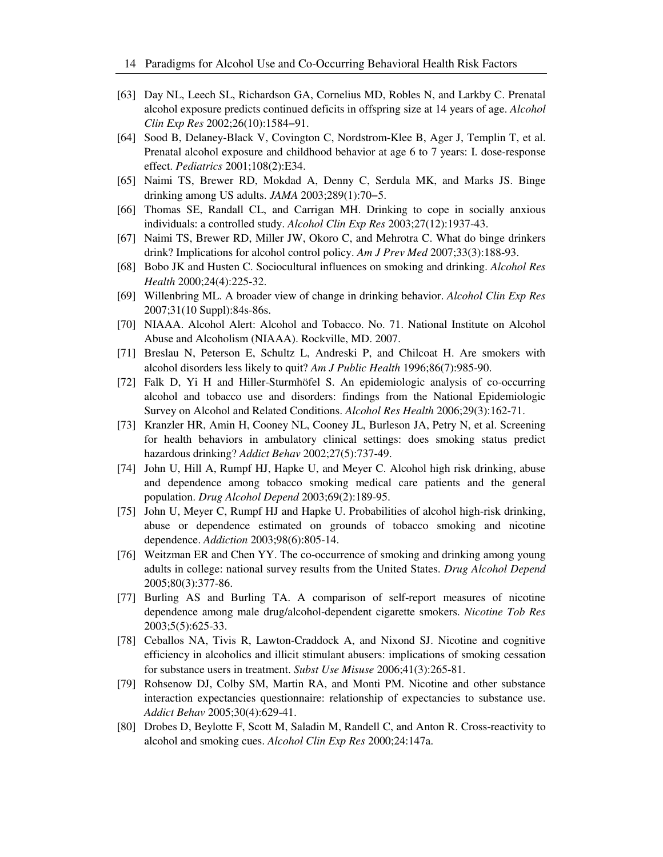- [63] Day NL, Leech SL, Richardson GA, Cornelius MD, Robles N, and Larkby C. Prenatal alcohol exposure predicts continued deficits in offspring size at 14 years of age. *Alcohol Clin Exp Res* 2002;26(10):1584−91.
- [64] Sood B, Delaney-Black V, Covington C, Nordstrom-Klee B, Ager J, Templin T, et al. Prenatal alcohol exposure and childhood behavior at age 6 to 7 years: I. dose-response effect. *Pediatrics* 2001;108(2):E34.
- [65] Naimi TS, Brewer RD, Mokdad A, Denny C, Serdula MK, and Marks JS. Binge drinking among US adults. *JAMA* 2003;289(1):70−5.
- [66] Thomas SE, Randall CL, and Carrigan MH. Drinking to cope in socially anxious individuals: a controlled study. *Alcohol Clin Exp Res* 2003;27(12):1937-43.
- [67] Naimi TS, Brewer RD, Miller JW, Okoro C, and Mehrotra C. What do binge drinkers drink? Implications for alcohol control policy. *Am J Prev Med* 2007;33(3):188-93.
- [68] Bobo JK and Husten C. Sociocultural influences on smoking and drinking. *Alcohol Res Health* 2000;24(4):225-32.
- [69] Willenbring ML. A broader view of change in drinking behavior. *Alcohol Clin Exp Res* 2007;31(10 Suppl):84s-86s.
- [70] NIAAA. Alcohol Alert: Alcohol and Tobacco. No. 71. National Institute on Alcohol Abuse and Alcoholism (NIAAA). Rockville, MD. 2007.
- [71] Breslau N, Peterson E, Schultz L, Andreski P, and Chilcoat H. Are smokers with alcohol disorders less likely to quit? *Am J Public Health* 1996;86(7):985-90.
- [72] Falk D, Yi H and Hiller-Sturmhöfel S. An epidemiologic analysis of co-occurring alcohol and tobacco use and disorders: findings from the National Epidemiologic Survey on Alcohol and Related Conditions. *Alcohol Res Health* 2006;29(3):162-71.
- [73] Kranzler HR, Amin H, Cooney NL, Cooney JL, Burleson JA, Petry N, et al. Screening for health behaviors in ambulatory clinical settings: does smoking status predict hazardous drinking? *Addict Behav* 2002;27(5):737-49.
- [74] John U, Hill A, Rumpf HJ, Hapke U, and Meyer C. Alcohol high risk drinking, abuse and dependence among tobacco smoking medical care patients and the general population. *Drug Alcohol Depend* 2003;69(2):189-95.
- [75] John U, Meyer C, Rumpf HJ and Hapke U. Probabilities of alcohol high-risk drinking, abuse or dependence estimated on grounds of tobacco smoking and nicotine dependence. *Addiction* 2003;98(6):805-14.
- [76] Weitzman ER and Chen YY. The co-occurrence of smoking and drinking among young adults in college: national survey results from the United States. *Drug Alcohol Depend* 2005;80(3):377-86.
- [77] Burling AS and Burling TA. A comparison of self-report measures of nicotine dependence among male drug/alcohol-dependent cigarette smokers. *Nicotine Tob Res* 2003;5(5):625-33.
- [78] Ceballos NA, Tivis R, Lawton-Craddock A, and Nixond SJ. Nicotine and cognitive efficiency in alcoholics and illicit stimulant abusers: implications of smoking cessation for substance users in treatment. *Subst Use Misuse* 2006;41(3):265-81.
- [79] Rohsenow DJ, Colby SM, Martin RA, and Monti PM. Nicotine and other substance interaction expectancies questionnaire: relationship of expectancies to substance use. *Addict Behav* 2005;30(4):629-41.
- [80] Drobes D, Beylotte F, Scott M, Saladin M, Randell C, and Anton R. Cross-reactivity to alcohol and smoking cues. *Alcohol Clin Exp Res* 2000;24:147a.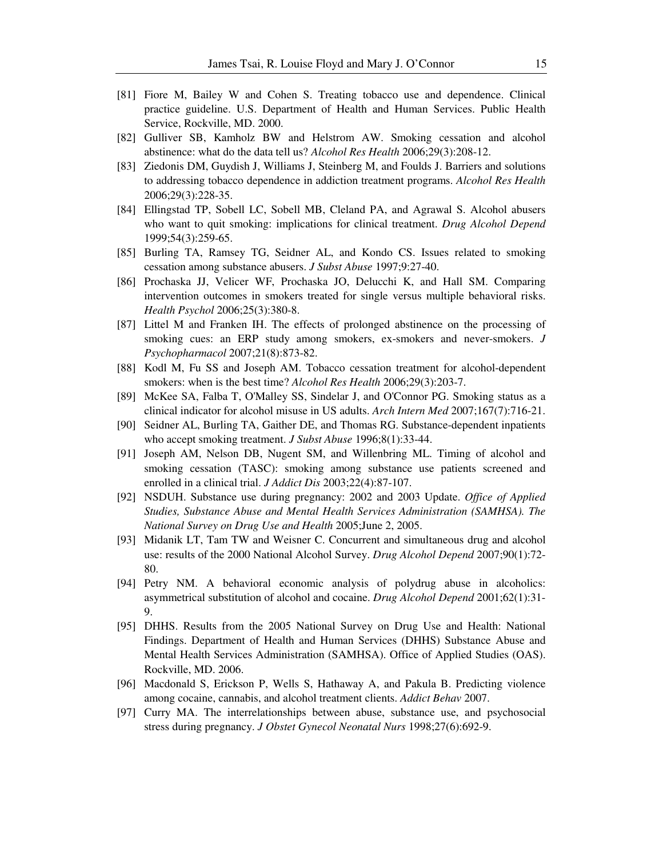- [81] Fiore M, Bailey W and Cohen S. Treating tobacco use and dependence. Clinical practice guideline. U.S. Department of Health and Human Services. Public Health Service, Rockville, MD. 2000.
- [82] Gulliver SB, Kamholz BW and Helstrom AW. Smoking cessation and alcohol abstinence: what do the data tell us? *Alcohol Res Health* 2006;29(3):208-12.
- [83] Ziedonis DM, Guydish J, Williams J, Steinberg M, and Foulds J. Barriers and solutions to addressing tobacco dependence in addiction treatment programs. *Alcohol Res Health* 2006;29(3):228-35.
- [84] Ellingstad TP, Sobell LC, Sobell MB, Cleland PA, and Agrawal S. Alcohol abusers who want to quit smoking: implications for clinical treatment. *Drug Alcohol Depend* 1999;54(3):259-65.
- [85] Burling TA, Ramsey TG, Seidner AL, and Kondo CS. Issues related to smoking cessation among substance abusers. *J Subst Abuse* 1997;9:27-40.
- [86] Prochaska JJ, Velicer WF, Prochaska JO, Delucchi K, and Hall SM. Comparing intervention outcomes in smokers treated for single versus multiple behavioral risks. *Health Psychol* 2006;25(3):380-8.
- [87] Littel M and Franken IH. The effects of prolonged abstinence on the processing of smoking cues: an ERP study among smokers, ex-smokers and never-smokers. *J Psychopharmacol* 2007;21(8):873-82.
- [88] Kodl M, Fu SS and Joseph AM. Tobacco cessation treatment for alcohol-dependent smokers: when is the best time? *Alcohol Res Health* 2006;29(3):203-7.
- [89] McKee SA, Falba T, O'Malley SS, Sindelar J, and O'Connor PG. Smoking status as a clinical indicator for alcohol misuse in US adults. *Arch Intern Med* 2007;167(7):716-21.
- [90] Seidner AL, Burling TA, Gaither DE, and Thomas RG. Substance-dependent inpatients who accept smoking treatment. *J Subst Abuse* 1996;8(1):33-44.
- [91] Joseph AM, Nelson DB, Nugent SM, and Willenbring ML. Timing of alcohol and smoking cessation (TASC): smoking among substance use patients screened and enrolled in a clinical trial. *J Addict Dis* 2003;22(4):87-107.
- [92] NSDUH. Substance use during pregnancy: 2002 and 2003 Update. *Office of Applied Studies, Substance Abuse and Mental Health Services Administration (SAMHSA). The National Survey on Drug Use and Health* 2005;June 2, 2005.
- [93] Midanik LT, Tam TW and Weisner C. Concurrent and simultaneous drug and alcohol use: results of the 2000 National Alcohol Survey. *Drug Alcohol Depend* 2007;90(1):72- 80.
- [94] Petry NM. A behavioral economic analysis of polydrug abuse in alcoholics: asymmetrical substitution of alcohol and cocaine. *Drug Alcohol Depend* 2001;62(1):31- 9.
- [95] DHHS. Results from the 2005 National Survey on Drug Use and Health: National Findings. Department of Health and Human Services (DHHS) Substance Abuse and Mental Health Services Administration (SAMHSA). Office of Applied Studies (OAS). Rockville, MD. 2006.
- [96] Macdonald S, Erickson P, Wells S, Hathaway A, and Pakula B. Predicting violence among cocaine, cannabis, and alcohol treatment clients. *Addict Behav* 2007.
- [97] Curry MA. The interrelationships between abuse, substance use, and psychosocial stress during pregnancy. *J Obstet Gynecol Neonatal Nurs* 1998;27(6):692-9.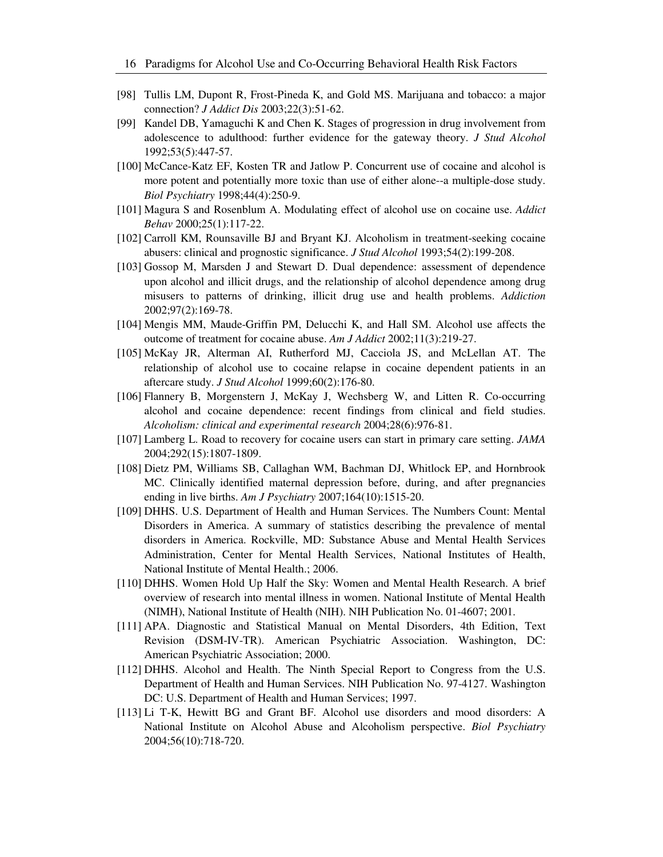- [98] Tullis LM, Dupont R, Frost-Pineda K, and Gold MS. Marijuana and tobacco: a major connection? *J Addict Dis* 2003;22(3):51-62.
- [99] Kandel DB, Yamaguchi K and Chen K. Stages of progression in drug involvement from adolescence to adulthood: further evidence for the gateway theory. *J Stud Alcohol* 1992;53(5):447-57.
- [100] McCance-Katz EF, Kosten TR and Jatlow P. Concurrent use of cocaine and alcohol is more potent and potentially more toxic than use of either alone--a multiple-dose study. *Biol Psychiatry* 1998;44(4):250-9.
- [101] Magura S and Rosenblum A. Modulating effect of alcohol use on cocaine use. *Addict Behav* 2000;25(1):117-22.
- [102] Carroll KM, Rounsaville BJ and Bryant KJ. Alcoholism in treatment-seeking cocaine abusers: clinical and prognostic significance. *J Stud Alcohol* 1993;54(2):199-208.
- [103] Gossop M, Marsden J and Stewart D. Dual dependence: assessment of dependence upon alcohol and illicit drugs, and the relationship of alcohol dependence among drug misusers to patterns of drinking, illicit drug use and health problems. *Addiction* 2002;97(2):169-78.
- [104] Mengis MM, Maude-Griffin PM, Delucchi K, and Hall SM. Alcohol use affects the outcome of treatment for cocaine abuse. *Am J Addict* 2002;11(3):219-27.
- [105] McKay JR, Alterman AI, Rutherford MJ, Cacciola JS, and McLellan AT. The relationship of alcohol use to cocaine relapse in cocaine dependent patients in an aftercare study. *J Stud Alcohol* 1999;60(2):176-80.
- [106] Flannery B, Morgenstern J, McKay J, Wechsberg W, and Litten R. Co-occurring alcohol and cocaine dependence: recent findings from clinical and field studies. *Alcoholism: clinical and experimental research* 2004;28(6):976-81.
- [107] Lamberg L. Road to recovery for cocaine users can start in primary care setting. *JAMA* 2004;292(15):1807-1809.
- [108] Dietz PM, Williams SB, Callaghan WM, Bachman DJ, Whitlock EP, and Hornbrook MC. Clinically identified maternal depression before, during, and after pregnancies ending in live births. *Am J Psychiatry* 2007;164(10):1515-20.
- [109] DHHS. U.S. Department of Health and Human Services. The Numbers Count: Mental Disorders in America. A summary of statistics describing the prevalence of mental disorders in America. Rockville, MD: Substance Abuse and Mental Health Services Administration, Center for Mental Health Services, National Institutes of Health, National Institute of Mental Health.; 2006.
- [110] DHHS. Women Hold Up Half the Sky: Women and Mental Health Research. A brief overview of research into mental illness in women. National Institute of Mental Health (NIMH), National Institute of Health (NIH). NIH Publication No. 01-4607; 2001.
- [111] APA. Diagnostic and Statistical Manual on Mental Disorders, 4th Edition, Text Revision (DSM-IV-TR). American Psychiatric Association. Washington, DC: American Psychiatric Association; 2000.
- [112] DHHS. Alcohol and Health. The Ninth Special Report to Congress from the U.S. Department of Health and Human Services. NIH Publication No. 97-4127. Washington DC: U.S. Department of Health and Human Services; 1997.
- [113] Li T-K, Hewitt BG and Grant BF. Alcohol use disorders and mood disorders: A National Institute on Alcohol Abuse and Alcoholism perspective. *Biol Psychiatry* 2004;56(10):718-720.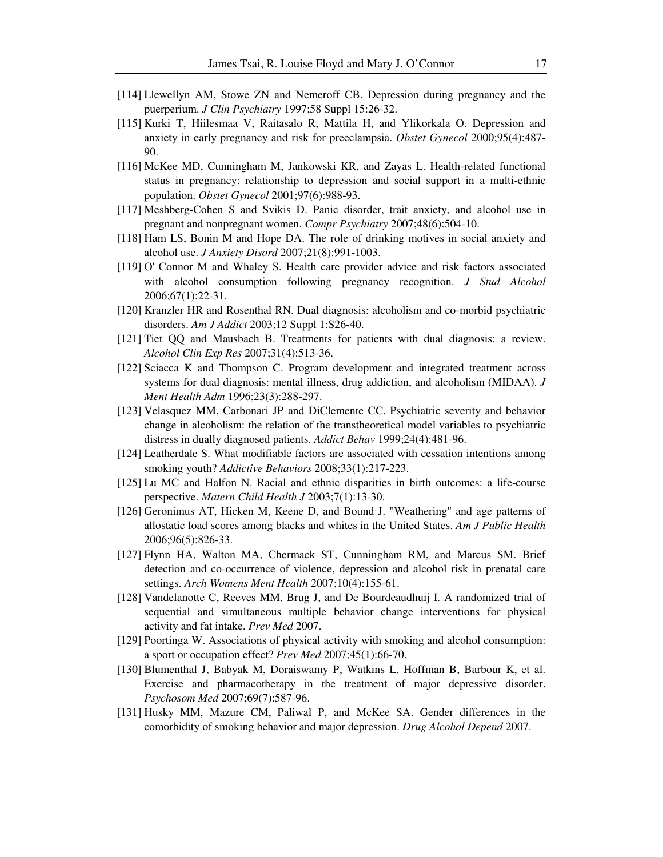- [114] Llewellyn AM, Stowe ZN and Nemeroff CB. Depression during pregnancy and the puerperium. *J Clin Psychiatry* 1997;58 Suppl 15:26-32.
- [115] Kurki T, Hiilesmaa V, Raitasalo R, Mattila H, and Ylikorkala O. Depression and anxiety in early pregnancy and risk for preeclampsia. *Obstet Gynecol* 2000;95(4):487- 90.
- [116] McKee MD, Cunningham M, Jankowski KR, and Zayas L. Health-related functional status in pregnancy: relationship to depression and social support in a multi-ethnic population. *Obstet Gynecol* 2001;97(6):988-93.
- [117] Meshberg-Cohen S and Svikis D. Panic disorder, trait anxiety, and alcohol use in pregnant and nonpregnant women. *Compr Psychiatry* 2007;48(6):504-10.
- [118] Ham LS, Bonin M and Hope DA. The role of drinking motives in social anxiety and alcohol use. *J Anxiety Disord* 2007;21(8):991-1003.
- [119] O' Connor M and Whaley S. Health care provider advice and risk factors associated with alcohol consumption following pregnancy recognition. *J Stud Alcohol* 2006;67(1):22-31.
- [120] Kranzler HR and Rosenthal RN. Dual diagnosis: alcoholism and co-morbid psychiatric disorders. *Am J Addict* 2003;12 Suppl 1:S26-40.
- [121] Tiet QQ and Mausbach B. Treatments for patients with dual diagnosis: a review. *Alcohol Clin Exp Res* 2007;31(4):513-36.
- [122] Sciacca K and Thompson C. Program development and integrated treatment across systems for dual diagnosis: mental illness, drug addiction, and alcoholism (MIDAA). *J Ment Health Adm* 1996;23(3):288-297.
- [123] Velasquez MM, Carbonari JP and DiClemente CC. Psychiatric severity and behavior change in alcoholism: the relation of the transtheoretical model variables to psychiatric distress in dually diagnosed patients. *Addict Behav* 1999;24(4):481-96.
- [124] Leatherdale S. What modifiable factors are associated with cessation intentions among smoking youth? *Addictive Behaviors* 2008;33(1):217-223.
- [125] Lu MC and Halfon N. Racial and ethnic disparities in birth outcomes: a life-course perspective. *Matern Child Health J* 2003;7(1):13-30.
- [126] Geronimus AT, Hicken M, Keene D, and Bound J. "Weathering" and age patterns of allostatic load scores among blacks and whites in the United States. *Am J Public Health* 2006;96(5):826-33.
- [127] Flynn HA, Walton MA, Chermack ST, Cunningham RM, and Marcus SM. Brief detection and co-occurrence of violence, depression and alcohol risk in prenatal care settings. *Arch Womens Ment Health* 2007;10(4):155-61.
- [128] Vandelanotte C, Reeves MM, Brug J, and De Bourdeaudhuij I. A randomized trial of sequential and simultaneous multiple behavior change interventions for physical activity and fat intake. *Prev Med* 2007.
- [129] Poortinga W. Associations of physical activity with smoking and alcohol consumption: a sport or occupation effect? *Prev Med* 2007;45(1):66-70.
- [130] Blumenthal J, Babyak M, Doraiswamy P, Watkins L, Hoffman B, Barbour K, et al. Exercise and pharmacotherapy in the treatment of major depressive disorder. *Psychosom Med* 2007;69(7):587-96.
- [131] Husky MM, Mazure CM, Paliwal P, and McKee SA. Gender differences in the comorbidity of smoking behavior and major depression. *Drug Alcohol Depend* 2007.